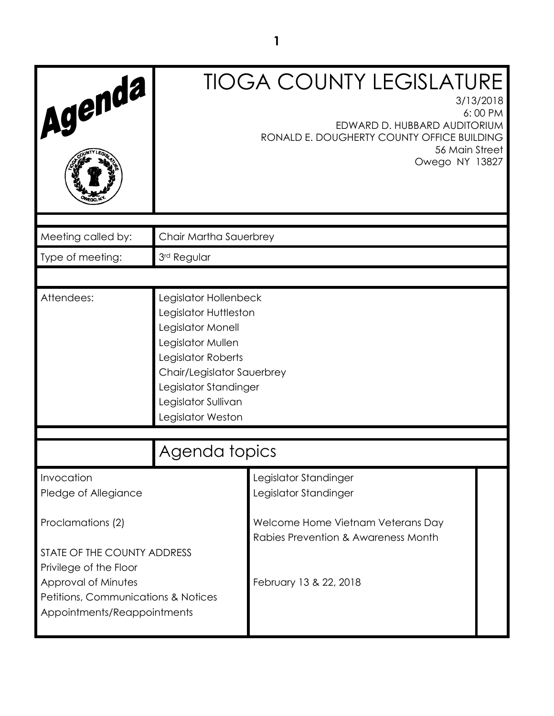| Agenda                                                                                                                                             | <b>TIOGA COUNTY LEGISLATURE</b><br>3/13/2018<br>6:00 PM<br>EDWARD D. HUBBARD AUDITORIUM<br>RONALD E. DOUGHERTY COUNTY OFFICE BUILDING<br>56 Main Street<br>Owego NY 13827                                         |                                                                          |  |
|----------------------------------------------------------------------------------------------------------------------------------------------------|-------------------------------------------------------------------------------------------------------------------------------------------------------------------------------------------------------------------|--------------------------------------------------------------------------|--|
| Meeting called by:                                                                                                                                 | Chair Martha Sauerbrey                                                                                                                                                                                            |                                                                          |  |
| Type of meeting:                                                                                                                                   | 3rd Regular                                                                                                                                                                                                       |                                                                          |  |
|                                                                                                                                                    |                                                                                                                                                                                                                   |                                                                          |  |
| Attendees:                                                                                                                                         | Legislator Hollenbeck<br>Legislator Huttleston<br>Legislator Monell<br>Legislator Mullen<br>Legislator Roberts<br>Chair/Legislator Sauerbrey<br>Legislator Standinger<br>Legislator Sullivan<br>Legislator Weston |                                                                          |  |
| Agenda topics                                                                                                                                      |                                                                                                                                                                                                                   |                                                                          |  |
| Invocation<br>Pledge of Allegiance                                                                                                                 |                                                                                                                                                                                                                   | Legislator Standinger<br>Legislator Standinger                           |  |
| Proclamations (2)                                                                                                                                  |                                                                                                                                                                                                                   | Welcome Home Vietnam Veterans Day<br>Rabies Prevention & Awareness Month |  |
| STATE OF THE COUNTY ADDRESS<br>Privilege of the Floor<br>Approval of Minutes<br>Petitions, Communications & Notices<br>Appointments/Reappointments |                                                                                                                                                                                                                   | February 13 & 22, 2018                                                   |  |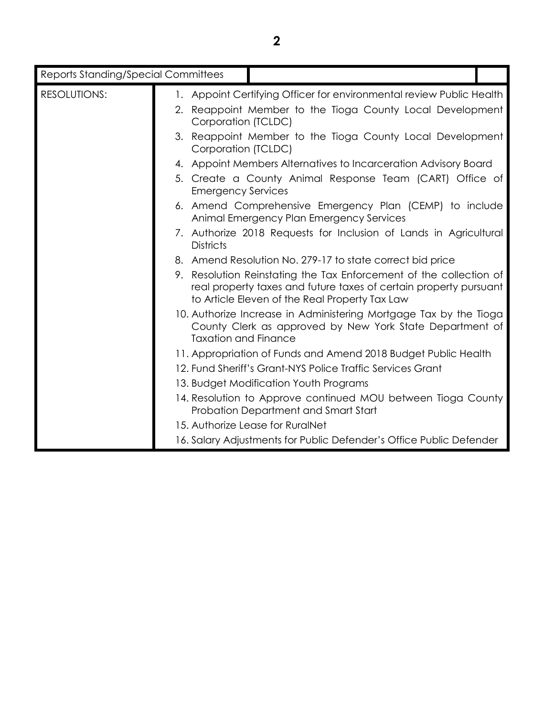| <b>Reports Standing/Special Committees</b> |                                                                                                                                                                                           |  |
|--------------------------------------------|-------------------------------------------------------------------------------------------------------------------------------------------------------------------------------------------|--|
| <b>RESOLUTIONS:</b>                        | 1. Appoint Certifying Officer for environmental review Public Health                                                                                                                      |  |
|                                            | 2. Reappoint Member to the Tioga County Local Development<br>Corporation (TCLDC)                                                                                                          |  |
|                                            | 3. Reappoint Member to the Tioga County Local Development<br>Corporation (TCLDC)                                                                                                          |  |
|                                            | 4. Appoint Members Alternatives to Incarceration Advisory Board                                                                                                                           |  |
|                                            | 5. Create a County Animal Response Team (CART) Office of<br><b>Emergency Services</b>                                                                                                     |  |
|                                            | 6. Amend Comprehensive Emergency Plan (CEMP) to include<br>Animal Emergency Plan Emergency Services                                                                                       |  |
|                                            | 7. Authorize 2018 Requests for Inclusion of Lands in Agricultural<br><b>Districts</b>                                                                                                     |  |
|                                            | 8. Amend Resolution No. 279-17 to state correct bid price                                                                                                                                 |  |
|                                            | 9. Resolution Reinstating the Tax Enforcement of the collection of<br>real property taxes and future taxes of certain property pursuant<br>to Article Eleven of the Real Property Tax Law |  |
|                                            | 10. Authorize Increase in Administering Mortgage Tax by the Tioga<br>County Clerk as approved by New York State Department of<br><b>Taxation and Finance</b>                              |  |
|                                            | 11. Appropriation of Funds and Amend 2018 Budget Public Health                                                                                                                            |  |
|                                            | 12. Fund Sheriff's Grant-NYS Police Traffic Services Grant                                                                                                                                |  |
|                                            | 13. Budget Modification Youth Programs                                                                                                                                                    |  |
|                                            | 14. Resolution to Approve continued MOU between Tioga County<br>Probation Department and Smart Start                                                                                      |  |
|                                            | 15. Authorize Lease for RuralNet                                                                                                                                                          |  |
|                                            | 16. Salary Adjustments for Public Defender's Office Public Defender                                                                                                                       |  |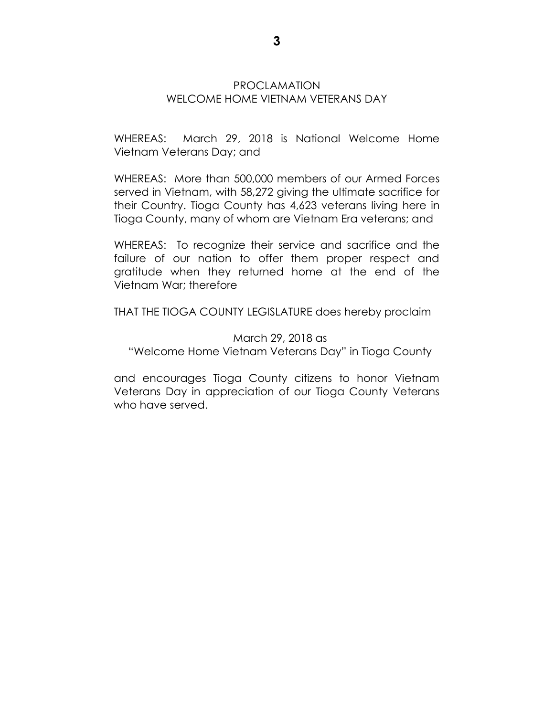## PROCLAMATION WELCOME HOME VIETNAM VETERANS DAY

WHEREAS: March 29, 2018 is National Welcome Home Vietnam Veterans Day; and

WHEREAS: More than 500,000 members of our Armed Forces served in Vietnam, with 58,272 giving the ultimate sacrifice for their Country. Tioga County has 4,623 veterans living here in Tioga County, many of whom are Vietnam Era veterans; and

WHEREAS: To recognize their service and sacrifice and the failure of our nation to offer them proper respect and gratitude when they returned home at the end of the Vietnam War; therefore

THAT THE TIOGA COUNTY LEGISLATURE does hereby proclaim

March 29, 2018 as "Welcome Home Vietnam Veterans Day" in Tioga County

and encourages Tioga County citizens to honor Vietnam Veterans Day in appreciation of our Tioga County Veterans who have served.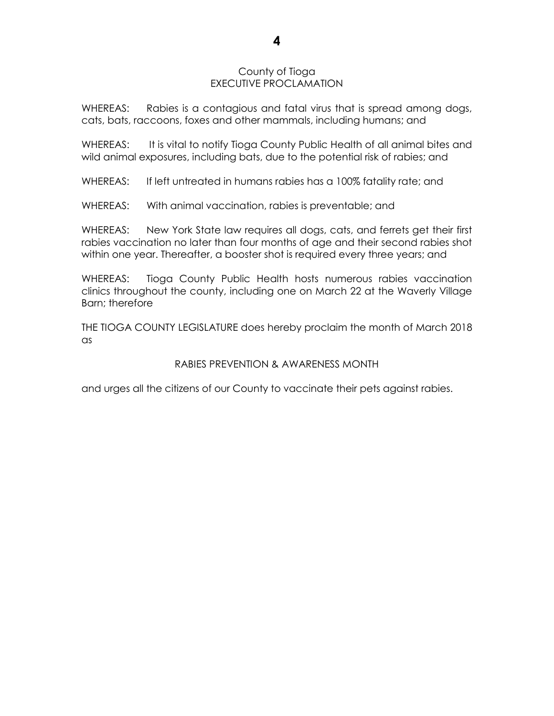#### County of Tioga EXECUTIVE PROCLAMATION

WHEREAS: Rabies is a contagious and fatal virus that is spread among dogs, cats, bats, raccoons, foxes and other mammals, including humans; and

WHEREAS: It is vital to notify Tioga County Public Health of all animal bites and wild animal exposures, including bats, due to the potential risk of rabies; and

WHEREAS: If left untreated in humans rabies has a 100% fatality rate; and

WHEREAS: With animal vaccination, rabies is preventable; and

WHEREAS: New York State law requires all dogs, cats, and ferrets get their first rabies vaccination no later than four months of age and their second rabies shot within one year. Thereafter, a booster shot is required every three years; and

WHEREAS: Tioga County Public Health hosts numerous rabies vaccination clinics throughout the county, including one on March 22 at the Waverly Village Barn; therefore

THE TIOGA COUNTY LEGISLATURE does hereby proclaim the month of March 2018 as

### RABIES PREVENTION & AWARENESS MONTH

and urges all the citizens of our County to vaccinate their pets against rabies.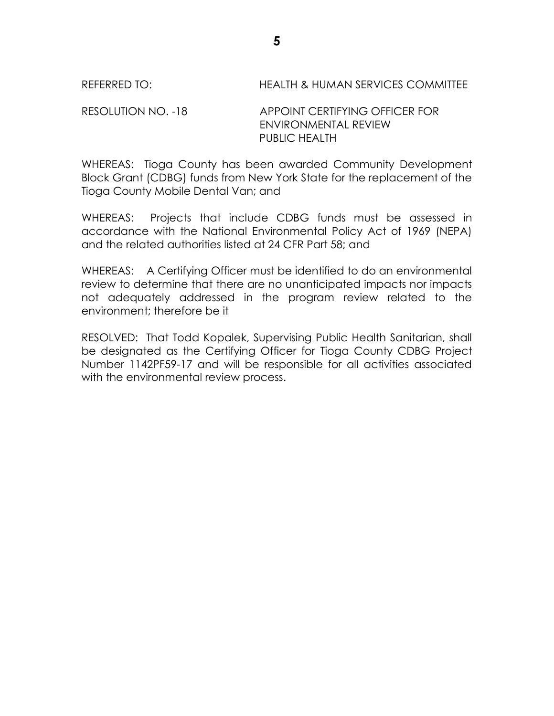#### REFERRED TO: HEALTH & HUMAN SERVICES COMMITTEE

RESOLUTION NO. -18 APPOINT CERTIFYING OFFICER FOR ENVIRONMENTAL REVIEW PUBLIC HEALTH

WHEREAS: Tioga County has been awarded Community Development Block Grant (CDBG) funds from New York State for the replacement of the Tioga County Mobile Dental Van; and

WHEREAS: Projects that include CDBG funds must be assessed in accordance with the National Environmental Policy Act of 1969 (NEPA) and the related authorities listed at 24 CFR Part 58; and

WHEREAS: A Certifying Officer must be identified to do an environmental review to determine that there are no unanticipated impacts nor impacts not adequately addressed in the program review related to the environment; therefore be it

RESOLVED: That Todd Kopalek, Supervising Public Health Sanitarian, shall be designated as the Certifying Officer for Tioga County CDBG Project Number 1142PF59-17 and will be responsible for all activities associated with the environmental review process.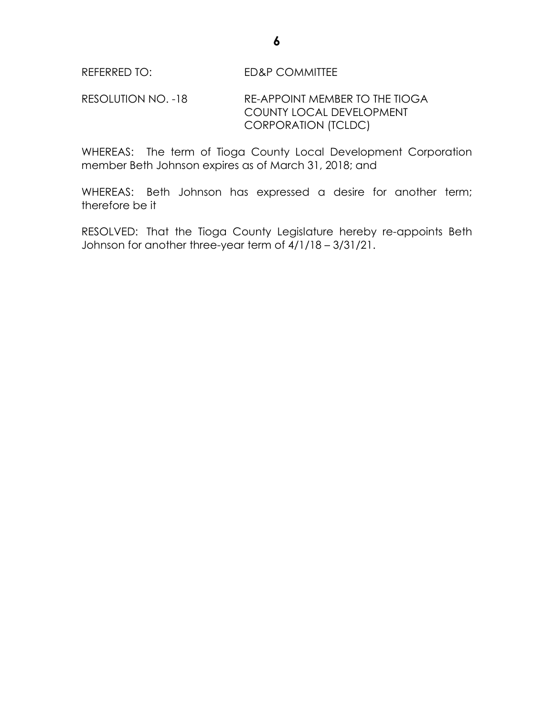RESOLUTION NO. -18 RE-APPOINT MEMBER TO THE TIOGA COUNTY LOCAL DEVELOPMENT CORPORATION (TCLDC)

WHEREAS: The term of Tioga County Local Development Corporation member Beth Johnson expires as of March 31, 2018; and

WHEREAS: Beth Johnson has expressed a desire for another term; therefore be it

RESOLVED: That the Tioga County Legislature hereby re-appoints Beth Johnson for another three-year term of 4/1/18 – 3/31/21.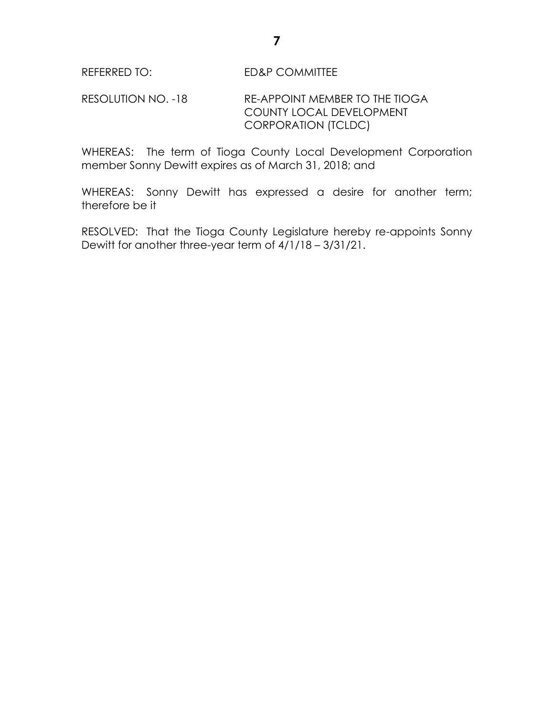## REFERRED TO: ED&P COMMITTEE

## RESOLUTION NO. -18 RE-APPOINT MEMBER TO THE TIOGA COUNTY LOCAL DEVELOPMENT CORPORATION (TCLDC)

WHEREAS: The term of Tioga County Local Development Corporation member Sonny Dewitt expires as of March 31, 2018; and

WHEREAS: Sonny Dewitt has expressed a desire for another term; therefore be it

RESOLVED: That the Tioga County Legislature hereby re-appoints Sonny Dewitt for another three-year term of 4/1/18 – 3/31/21.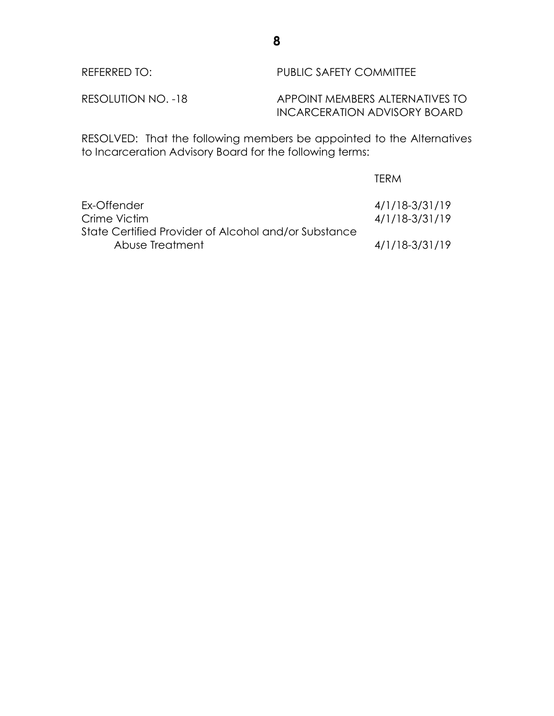| REFERRED TO:       | PUBLIC SAFETY COMMITTEE                                         |
|--------------------|-----------------------------------------------------------------|
| RESOLUTION NO. -18 | APPOINT MEMBERS ALTERNATIVES TO<br>INCARCERATION ADVISORY BOARD |

RESOLVED: That the following members be appointed to the Alternatives to Incarceration Advisory Board for the following terms:

|                                                                         | TERM                             |
|-------------------------------------------------------------------------|----------------------------------|
| Ex-Offender<br>Crime Victim                                             | 4/1/18-3/31/19<br>4/1/18-3/31/19 |
| State Certified Provider of Alcohol and/or Substance<br>Abuse Treatment | 4/1/18-3/31/19                   |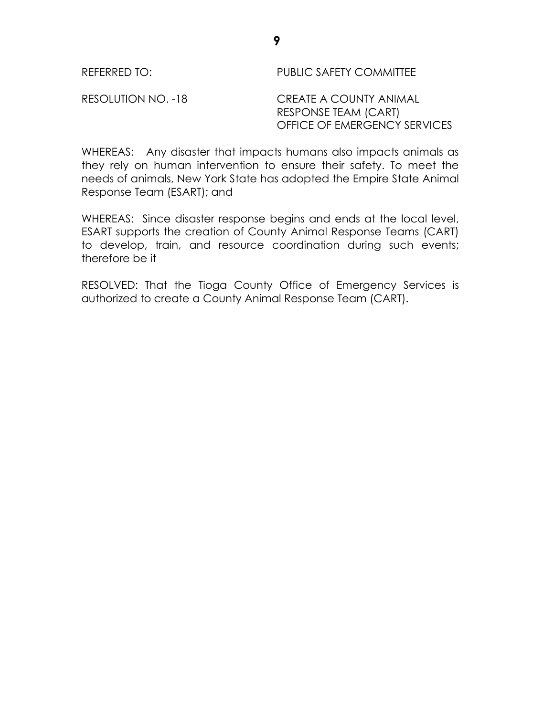REFERRED TO: PUBLIC SAFETY COMMITTEE

RESOLUTION NO. -18 CREATE A COUNTY ANIMAL RESPONSE TEAM (CART) OFFICE OF EMERGENCY SERVICES

WHEREAS: Any disaster that impacts humans also impacts animals as they rely on human intervention to ensure their safety. To meet the needs of animals, New York State has adopted the Empire State Animal Response Team (ESART); and

WHEREAS: Since disaster response begins and ends at the local level, ESART supports the creation of County Animal Response Teams (CART) to develop, train, and resource coordination during such events; therefore be it

RESOLVED: That the Tioga County Office of Emergency Services is authorized to create a County Animal Response Team (CART).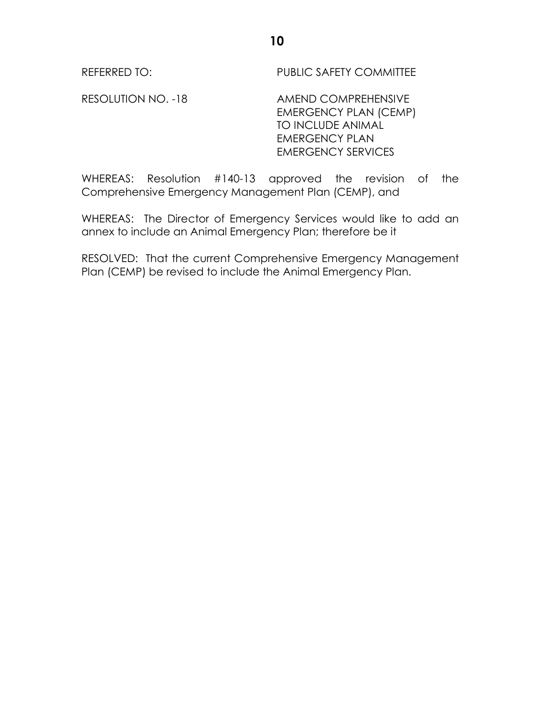REFERRED TO: PUBLIC SAFETY COMMITTEE

RESOLUTION NO. -18 AMEND COMPREHENSIVE EMERGENCY PLAN (CEMP) TO INCLUDE ANIMAL EMERGENCY PLAN EMERGENCY SERVICES

WHEREAS: Resolution #140-13 approved the revision of the Comprehensive Emergency Management Plan (CEMP), and

WHEREAS: The Director of Emergency Services would like to add an annex to include an Animal Emergency Plan; therefore be it

RESOLVED: That the current Comprehensive Emergency Management Plan (CEMP) be revised to include the Animal Emergency Plan.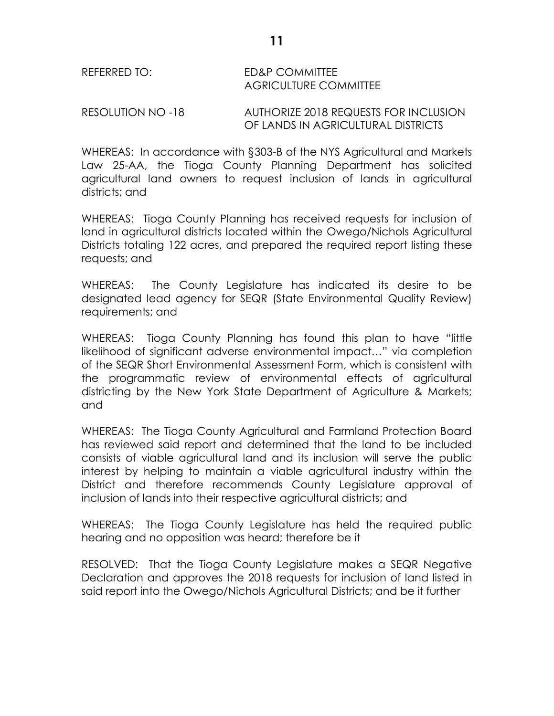## REFERRED TO: ED&P COMMITTEE AGRICULTURE COMMITTEE

RESOLUTION NO -18 AUTHORIZE 2018 REQUESTS FOR INCLUSION OF LANDS IN AGRICULTURAL DISTRICTS

WHEREAS: In accordance with §303-B of the NYS Agricultural and Markets Law 25-AA, the Tioga County Planning Department has solicited agricultural land owners to request inclusion of lands in agricultural districts; and

WHEREAS: Tioga County Planning has received requests for inclusion of land in agricultural districts located within the Owego/Nichols Agricultural Districts totaling 122 acres, and prepared the required report listing these requests; and

WHEREAS: The County Legislature has indicated its desire to be designated lead agency for SEQR (State Environmental Quality Review) requirements; and

WHEREAS: Tioga County Planning has found this plan to have "little likelihood of significant adverse environmental impact…" via completion of the SEQR Short Environmental Assessment Form, which is consistent with the programmatic review of environmental effects of agricultural districting by the New York State Department of Agriculture & Markets; and

WHEREAS: The Tioga County Agricultural and Farmland Protection Board has reviewed said report and determined that the land to be included consists of viable agricultural land and its inclusion will serve the public interest by helping to maintain a viable agricultural industry within the District and therefore recommends County Legislature approval of inclusion of lands into their respective agricultural districts; and

WHEREAS: The Tioga County Legislature has held the required public hearing and no opposition was heard; therefore be it

RESOLVED: That the Tioga County Legislature makes a SEQR Negative Declaration and approves the 2018 requests for inclusion of land listed in said report into the Owego/Nichols Agricultural Districts; and be it further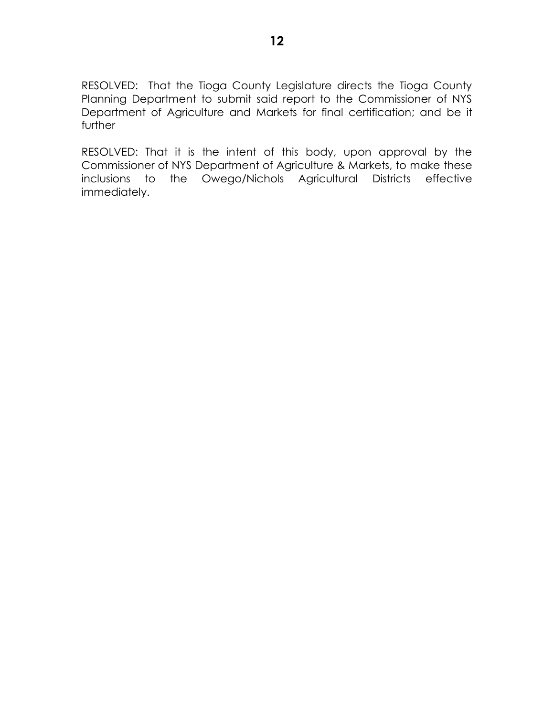RESOLVED: That the Tioga County Legislature directs the Tioga County Planning Department to submit said report to the Commissioner of NYS Department of Agriculture and Markets for final certification; and be it further

RESOLVED: That it is the intent of this body, upon approval by the Commissioner of NYS Department of Agriculture & Markets, to make these inclusions to the Owego/Nichols Agricultural Districts effective immediately.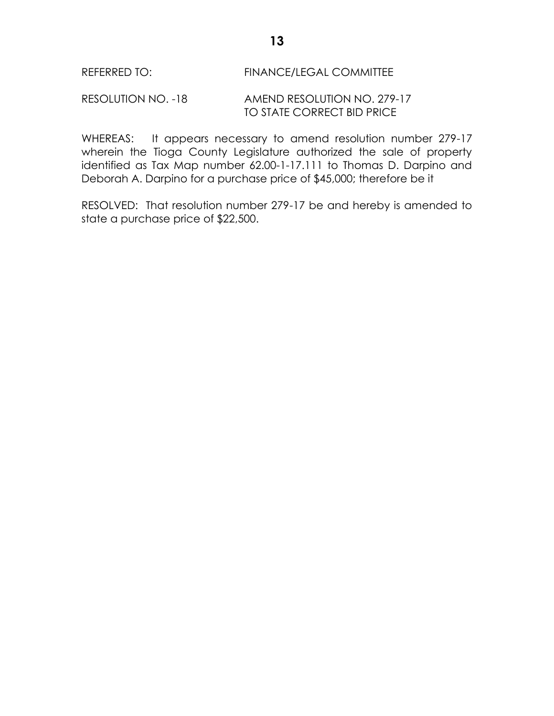## REFERRED TO: FINANCE/LEGAL COMMITTEE

RESOLUTION NO. -18 AMEND RESOLUTION NO. 279-17 TO STATE CORRECT BID PRICE

WHEREAS: It appears necessary to amend resolution number 279-17 wherein the Tioga County Legislature authorized the sale of property identified as Tax Map number 62.00-1-17.111 to Thomas D. Darpino and Deborah A. Darpino for a purchase price of \$45,000; therefore be it

RESOLVED: That resolution number 279-17 be and hereby is amended to state a purchase price of \$22,500.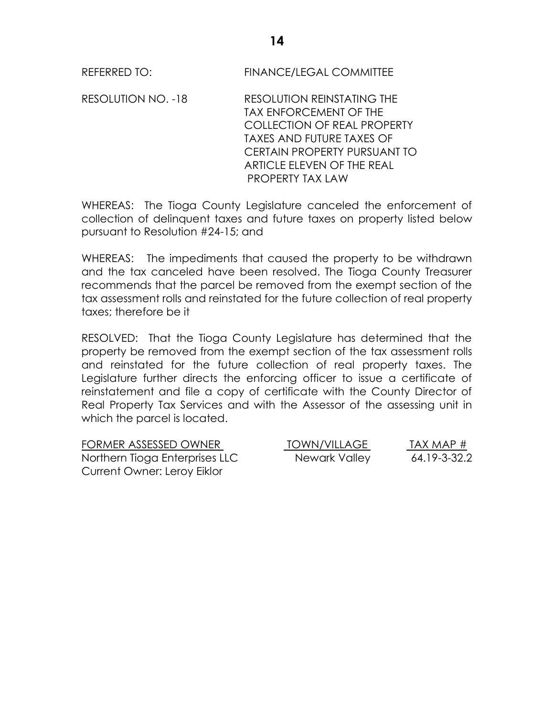REFERRED TO: FINANCE/LEGAL COMMITTEE

RESOLUTION NO. -18 RESOLUTION REINSTATING THE TAX ENFORCEMENT OF THE COLLECTION OF REAL PROPERTY TAXES AND FUTURE TAXES OF CERTAIN PROPERTY PURSUANT TO ARTICLE ELEVEN OF THE REAL PROPERTY TAX LAW

WHEREAS: The Tioga County Legislature canceled the enforcement of collection of delinquent taxes and future taxes on property listed below pursuant to Resolution #24-15; and

WHEREAS: The impediments that caused the property to be withdrawn and the tax canceled have been resolved. The Tioga County Treasurer recommends that the parcel be removed from the exempt section of the tax assessment rolls and reinstated for the future collection of real property taxes; therefore be it

RESOLVED: That the Tioga County Legislature has determined that the property be removed from the exempt section of the tax assessment rolls and reinstated for the future collection of real property taxes. The Legislature further directs the enforcing officer to issue a certificate of reinstatement and file a copy of certificate with the County Director of Real Property Tax Services and with the Assessor of the assessing unit in which the parcel is located.

| FORMER ASSESSED OWNER          | <b>TOWN/VILLAGE</b> | TAX MAP $#$  |
|--------------------------------|---------------------|--------------|
| Northern Tioga Enterprises LLC | Newark Valley       | 64.19-3-32.2 |
| Current Owner: Leroy Eiklor    |                     |              |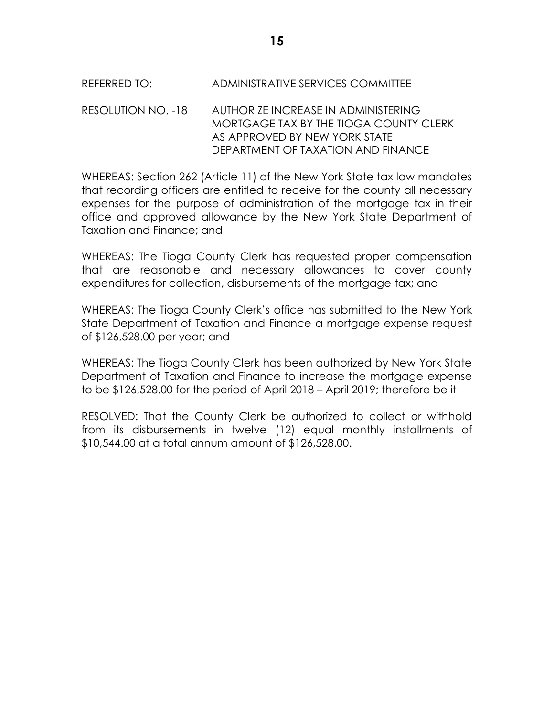# REFERRED TO: ADMINISTRATIVE SERVICES COMMITTEE

### RESOLUTION NO. -18 AUTHORIZE INCREASE IN ADMINISTERING MORTGAGE TAX BY THE TIOGA COUNTY CLERK AS APPROVED BY NEW YORK STATE DEPARTMENT OF TAXATION AND FINANCE

WHEREAS: Section 262 (Article 11) of the New York State tax law mandates that recording officers are entitled to receive for the county all necessary expenses for the purpose of administration of the mortgage tax in their office and approved allowance by the New York State Department of Taxation and Finance; and

WHEREAS: The Tioga County Clerk has requested proper compensation that are reasonable and necessary allowances to cover county expenditures for collection, disbursements of the mortgage tax; and

WHEREAS: The Tioga County Clerk's office has submitted to the New York State Department of Taxation and Finance a mortgage expense request of \$126,528.00 per year; and

WHEREAS: The Tioga County Clerk has been authorized by New York State Department of Taxation and Finance to increase the mortgage expense to be \$126,528.00 for the period of April 2018 – April 2019; therefore be it

RESOLVED: That the County Clerk be authorized to collect or withhold from its disbursements in twelve (12) equal monthly installments of \$10,544.00 at a total annum amount of \$126,528.00.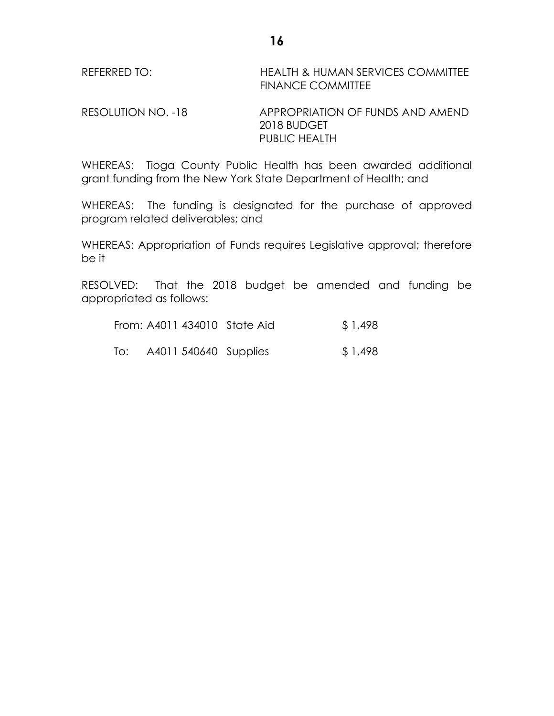| REFERRED TO: | <b>HEALTH &amp; HUMAN SERVICES COMMITTEE</b> |
|--------------|----------------------------------------------|
|              | <b>FINANCE COMMITTEE</b>                     |

RESOLUTION NO. -18 APPROPRIATION OF FUNDS AND AMEND 2018 BUDGET PUBLIC HEALTH

WHEREAS: Tioga County Public Health has been awarded additional grant funding from the New York State Department of Health; and

WHEREAS: The funding is designated for the purchase of approved program related deliverables; and

WHEREAS: Appropriation of Funds requires Legislative approval; therefore be it

RESOLVED: That the 2018 budget be amended and funding be appropriated as follows:

| From: A4011 434010 State Aid |  | \$1,498 |
|------------------------------|--|---------|
|------------------------------|--|---------|

To: A4011 540640 Supplies \$ 1,498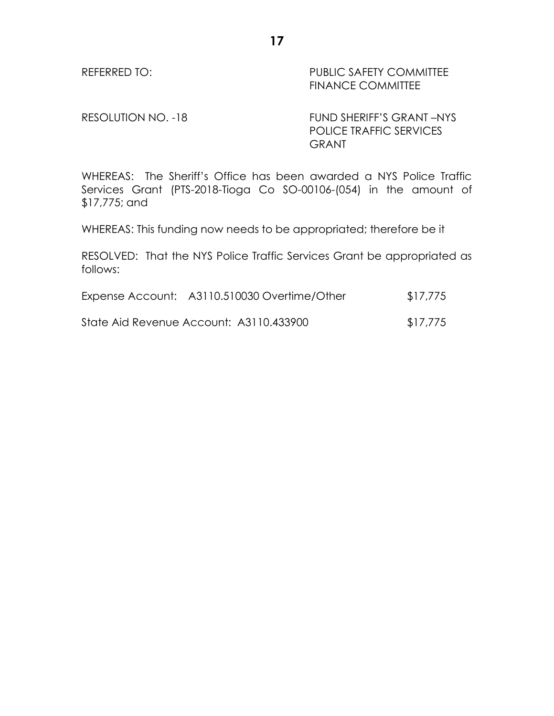REFERRED TO: PUBLIC SAFETY COMMITTEE FINANCE COMMITTEE

RESOLUTION NO. -18 FUND SHERIFF'S GRANT -NYS POLICE TRAFFIC SERVICES GRANT

WHEREAS: The Sheriff's Office has been awarded a NYS Police Traffic Services Grant (PTS-2018-Tioga Co SO-00106-(054) in the amount of \$17,775; and

WHEREAS: This funding now needs to be appropriated; therefore be it

RESOLVED: That the NYS Police Traffic Services Grant be appropriated as follows:

| Expense Account: A3110.510030 Overtime/Other | \$17,775 |
|----------------------------------------------|----------|
|                                              |          |

State Aid Revenue Account: A3110.433900 \$17,775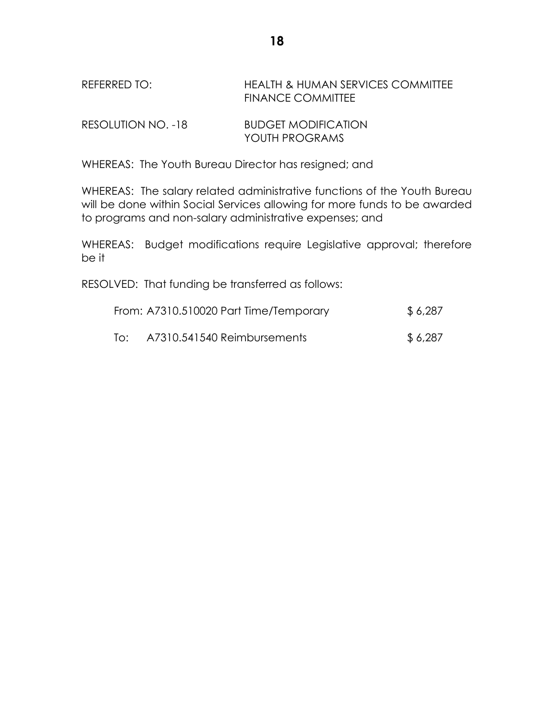REFERRED TO: HEALTH & HUMAN SERVICES COMMITTEE FINANCE COMMITTEE

| RESOLUTION NO. -18 | <b>BUDGET MODIFICATION</b> |
|--------------------|----------------------------|
|                    | YOUTH PROGRAMS             |

WHEREAS: The Youth Bureau Director has resigned; and

WHEREAS: The salary related administrative functions of the Youth Bureau will be done within Social Services allowing for more funds to be awarded to programs and non-salary administrative expenses; and

WHEREAS: Budget modifications require Legislative approval; therefore be it

RESOLVED: That funding be transferred as follows:

|     | From: A7310.510020 Part Time/Temporary | \$6,287  |
|-----|----------------------------------------|----------|
| To: | A7310.541540 Reimbursements            | \$ 6,287 |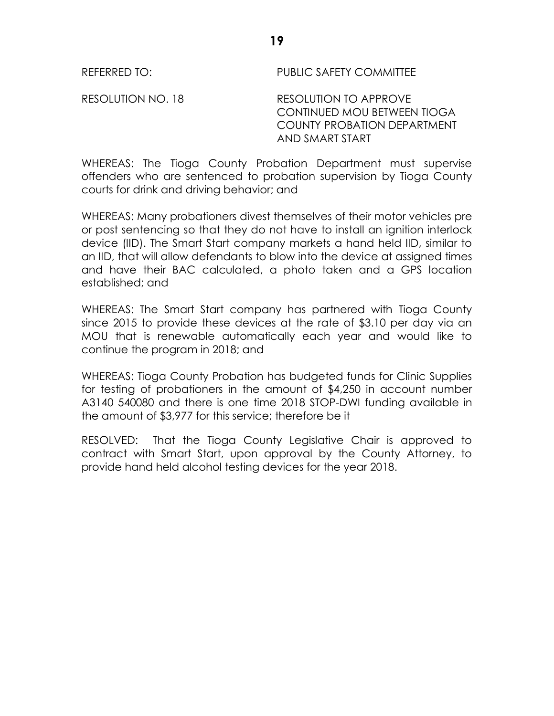REFERRED TO: PUBLIC SAFETY COMMITTEE

RESOLUTION NO. 18 RESOLUTION TO APPROVE CONTINUED MOU BETWEEN TIOGA COUNTY PROBATION DEPARTMENT AND SMART START

WHEREAS: The Tioga County Probation Department must supervise offenders who are sentenced to probation supervision by Tioga County courts for drink and driving behavior; and

WHEREAS: Many probationers divest themselves of their motor vehicles pre or post sentencing so that they do not have to install an ignition interlock device (IID). The Smart Start company markets a hand held IID, similar to an IID, that will allow defendants to blow into the device at assigned times and have their BAC calculated, a photo taken and a GPS location established; and

WHEREAS: The Smart Start company has partnered with Tioga County since 2015 to provide these devices at the rate of \$3.10 per day via an MOU that is renewable automatically each year and would like to continue the program in 2018; and

WHEREAS: Tioga County Probation has budgeted funds for Clinic Supplies for testing of probationers in the amount of \$4,250 in account number A3140 540080 and there is one time 2018 STOP-DWI funding available in the amount of \$3,977 for this service; therefore be it

RESOLVED: That the Tioga County Legislative Chair is approved to contract with Smart Start, upon approval by the County Attorney, to provide hand held alcohol testing devices for the year 2018.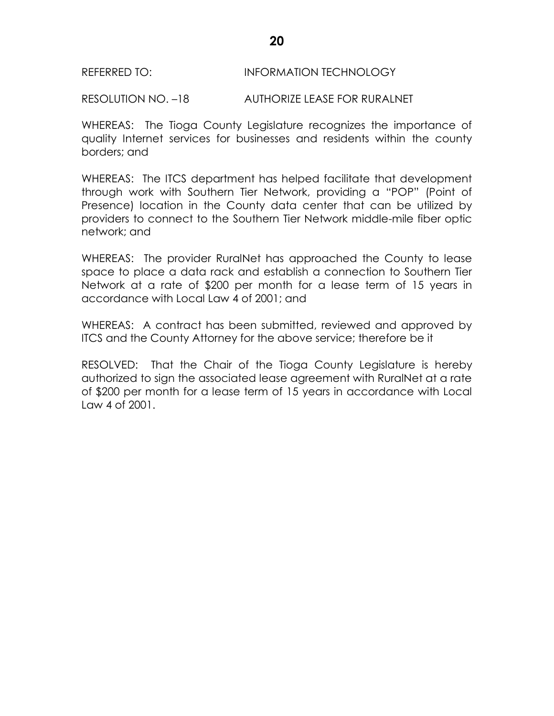### REFERRED TO: INFORMATION TECHNOLOGY

RESOLUTION NO. –18 AUTHORIZE LEASE FOR RURALNET

WHEREAS: The Tioga County Legislature recognizes the importance of quality Internet services for businesses and residents within the county borders; and

WHEREAS: The ITCS department has helped facilitate that development through work with Southern Tier Network, providing a "POP" (Point of Presence) location in the County data center that can be utilized by providers to connect to the Southern Tier Network middle-mile fiber optic network; and

WHEREAS: The provider RuralNet has approached the County to lease space to place a data rack and establish a connection to Southern Tier Network at a rate of \$200 per month for a lease term of 15 years in accordance with Local Law 4 of 2001; and

WHEREAS: A contract has been submitted, reviewed and approved by ITCS and the County Attorney for the above service; therefore be it

RESOLVED: That the Chair of the Tioga County Legislature is hereby authorized to sign the associated lease agreement with RuralNet at a rate of \$200 per month for a lease term of 15 years in accordance with Local Law 4 of 2001.